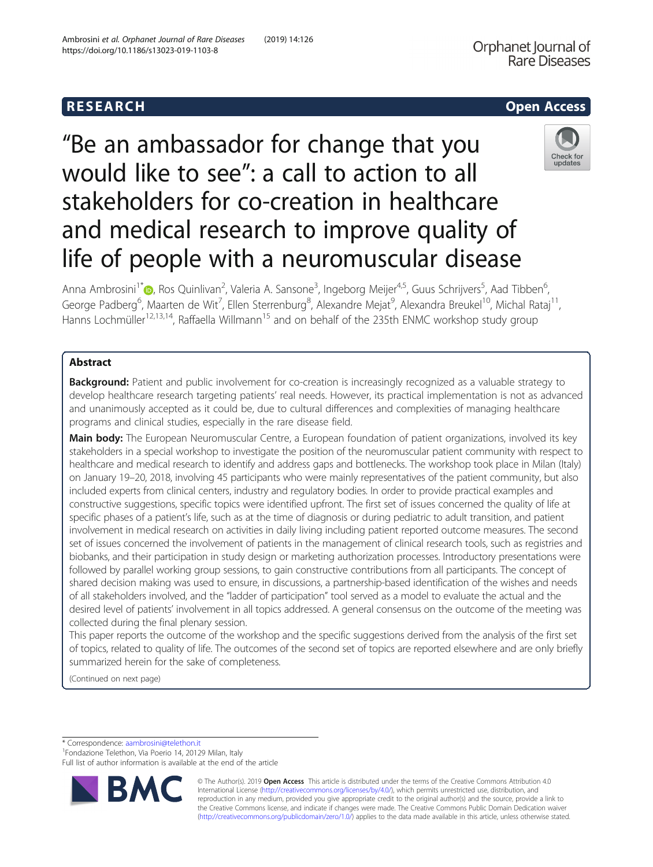

"Be an ambassador for change that you would like to see": a call to action to all stakeholders for co-creation in healthcare and medical research to improve quality of life of people with a neuromuscular disease

Anna Ambrosini<sup>1\*</sup>iD[,](http://orcid.org/0000-0002-3065-975X) Ros Quinlivan<sup>2</sup>, Valeria A. Sansone<sup>3</sup>, Ingeborg Meijer<sup>4,5</sup>, Guus Schrijvers<sup>5</sup>, Aad Tibben<sup>6</sup> , George Padberg<sup>6</sup>, Maarten de Wit<sup>7</sup>, Ellen Sterrenburg<sup>8</sup>, Alexandre Mejat<sup>9</sup>, Alexandra Breukel<sup>10</sup>, Michal Rataj<sup>11</sup>, Hanns Lochmüller<sup>12,13,14</sup>, Raffaella Willmann<sup>15</sup> and on behalf of the 235th ENMC workshop study group

# Abstract

Background: Patient and public involvement for co-creation is increasingly recognized as a valuable strategy to develop healthcare research targeting patients' real needs. However, its practical implementation is not as advanced and unanimously accepted as it could be, due to cultural differences and complexities of managing healthcare programs and clinical studies, especially in the rare disease field.

Main body: The European Neuromuscular Centre, a European foundation of patient organizations, involved its key stakeholders in a special workshop to investigate the position of the neuromuscular patient community with respect to healthcare and medical research to identify and address gaps and bottlenecks. The workshop took place in Milan (Italy) on January 19–20, 2018, involving 45 participants who were mainly representatives of the patient community, but also included experts from clinical centers, industry and regulatory bodies. In order to provide practical examples and constructive suggestions, specific topics were identified upfront. The first set of issues concerned the quality of life at specific phases of a patient's life, such as at the time of diagnosis or during pediatric to adult transition, and patient involvement in medical research on activities in daily living including patient reported outcome measures. The second set of issues concerned the involvement of patients in the management of clinical research tools, such as registries and biobanks, and their participation in study design or marketing authorization processes. Introductory presentations were followed by parallel working group sessions, to gain constructive contributions from all participants. The concept of shared decision making was used to ensure, in discussions, a partnership-based identification of the wishes and needs of all stakeholders involved, and the "ladder of participation" tool served as a model to evaluate the actual and the desired level of patients' involvement in all topics addressed. A general consensus on the outcome of the meeting was collected during the final plenary session.

This paper reports the outcome of the workshop and the specific suggestions derived from the analysis of the first set of topics, related to quality of life. The outcomes of the second set of topics are reported elsewhere and are only briefly summarized herein for the sake of completeness.

(Continued on next page)

\* Correspondence: [aambrosini@telethon.it](mailto:aambrosini@telethon.it) <sup>1</sup>

<sup>1</sup> Fondazione Telethon, Via Poerio 14, 20129 Milan, Italy

Full list of author information is available at the end of the article



© The Author(s). 2019 **Open Access** This article is distributed under the terms of the Creative Commons Attribution 4.0 International License [\(http://creativecommons.org/licenses/by/4.0/](http://creativecommons.org/licenses/by/4.0/)), which permits unrestricted use, distribution, and reproduction in any medium, provided you give appropriate credit to the original author(s) and the source, provide a link to the Creative Commons license, and indicate if changes were made. The Creative Commons Public Domain Dedication waiver [\(http://creativecommons.org/publicdomain/zero/1.0/](http://creativecommons.org/publicdomain/zero/1.0/)) applies to the data made available in this article, unless otherwise stated.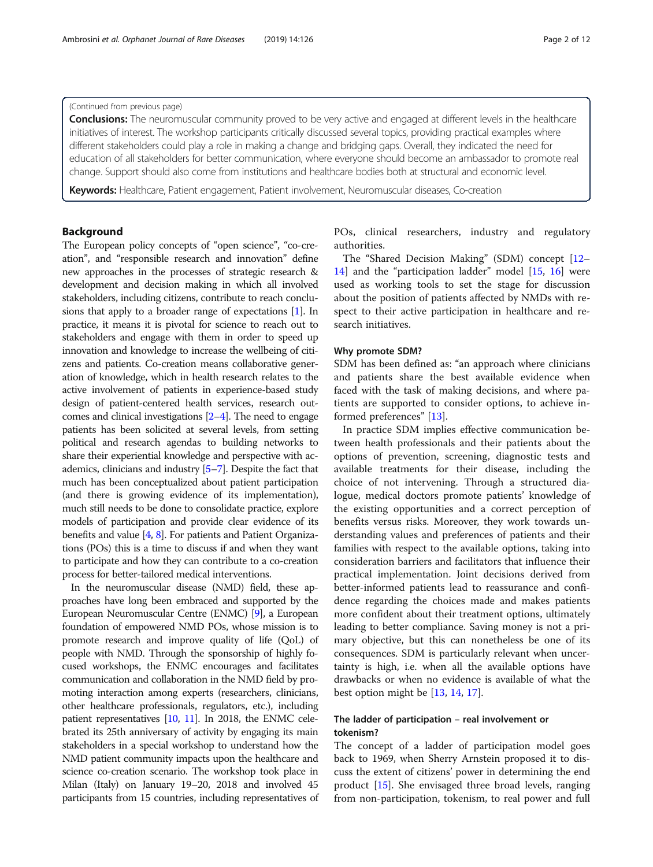### (Continued from previous page)

**Conclusions:** The neuromuscular community proved to be very active and engaged at different levels in the healthcare initiatives of interest. The workshop participants critically discussed several topics, providing practical examples where different stakeholders could play a role in making a change and bridging gaps. Overall, they indicated the need for education of all stakeholders for better communication, where everyone should become an ambassador to promote real change. Support should also come from institutions and healthcare bodies both at structural and economic level.

Keywords: Healthcare, Patient engagement, Patient involvement, Neuromuscular diseases, Co-creation

# Background

The European policy concepts of "open science", "co-creation", and "responsible research and innovation" define new approaches in the processes of strategic research & development and decision making in which all involved stakeholders, including citizens, contribute to reach conclusions that apply to a broader range of expectations [[1](#page-10-0)]. In practice, it means it is pivotal for science to reach out to stakeholders and engage with them in order to speed up innovation and knowledge to increase the wellbeing of citizens and patients. Co-creation means collaborative generation of knowledge, which in health research relates to the active involvement of patients in experience-based study design of patient-centered health services, research outcomes and clinical investigations  $[2-4]$  $[2-4]$  $[2-4]$ . The need to engage patients has been solicited at several levels, from setting political and research agendas to building networks to share their experiential knowledge and perspective with academics, clinicians and industry [[5](#page-10-0)–[7\]](#page-10-0). Despite the fact that much has been conceptualized about patient participation (and there is growing evidence of its implementation), much still needs to be done to consolidate practice, explore models of participation and provide clear evidence of its benefits and value  $[4, 8]$  $[4, 8]$  $[4, 8]$  $[4, 8]$ . For patients and Patient Organizations (POs) this is a time to discuss if and when they want to participate and how they can contribute to a co-creation process for better-tailored medical interventions.

In the neuromuscular disease (NMD) field, these approaches have long been embraced and supported by the European Neuromuscular Centre (ENMC) [\[9\]](#page-10-0), a European foundation of empowered NMD POs, whose mission is to promote research and improve quality of life (QoL) of people with NMD. Through the sponsorship of highly focused workshops, the ENMC encourages and facilitates communication and collaboration in the NMD field by promoting interaction among experts (researchers, clinicians, other healthcare professionals, regulators, etc.), including patient representatives [[10](#page-10-0), [11\]](#page-10-0). In 2018, the ENMC celebrated its 25th anniversary of activity by engaging its main stakeholders in a special workshop to understand how the NMD patient community impacts upon the healthcare and science co-creation scenario. The workshop took place in Milan (Italy) on January 19–20, 2018 and involved 45 participants from 15 countries, including representatives of POs, clinical researchers, industry and regulatory authorities.

The "Shared Decision Making" (SDM) concept [[12](#page-10-0)– [14\]](#page-10-0) and the "participation ladder" model [\[15](#page-10-0), [16\]](#page-10-0) were used as working tools to set the stage for discussion about the position of patients affected by NMDs with respect to their active participation in healthcare and research initiatives.

### Why promote SDM?

SDM has been defined as: "an approach where clinicians and patients share the best available evidence when faced with the task of making decisions, and where patients are supported to consider options, to achieve informed preferences" [\[13](#page-10-0)].

In practice SDM implies effective communication between health professionals and their patients about the options of prevention, screening, diagnostic tests and available treatments for their disease, including the choice of not intervening. Through a structured dialogue, medical doctors promote patients' knowledge of the existing opportunities and a correct perception of benefits versus risks. Moreover, they work towards understanding values and preferences of patients and their families with respect to the available options, taking into consideration barriers and facilitators that influence their practical implementation. Joint decisions derived from better-informed patients lead to reassurance and confidence regarding the choices made and makes patients more confident about their treatment options, ultimately leading to better compliance. Saving money is not a primary objective, but this can nonetheless be one of its consequences. SDM is particularly relevant when uncertainty is high, i.e. when all the available options have drawbacks or when no evidence is available of what the best option might be [\[13,](#page-10-0) [14,](#page-10-0) [17\]](#page-10-0).

# The ladder of participation – real involvement or tokenism?

The concept of a ladder of participation model goes back to 1969, when Sherry Arnstein proposed it to discuss the extent of citizens' power in determining the end product [\[15\]](#page-10-0). She envisaged three broad levels, ranging from non-participation, tokenism, to real power and full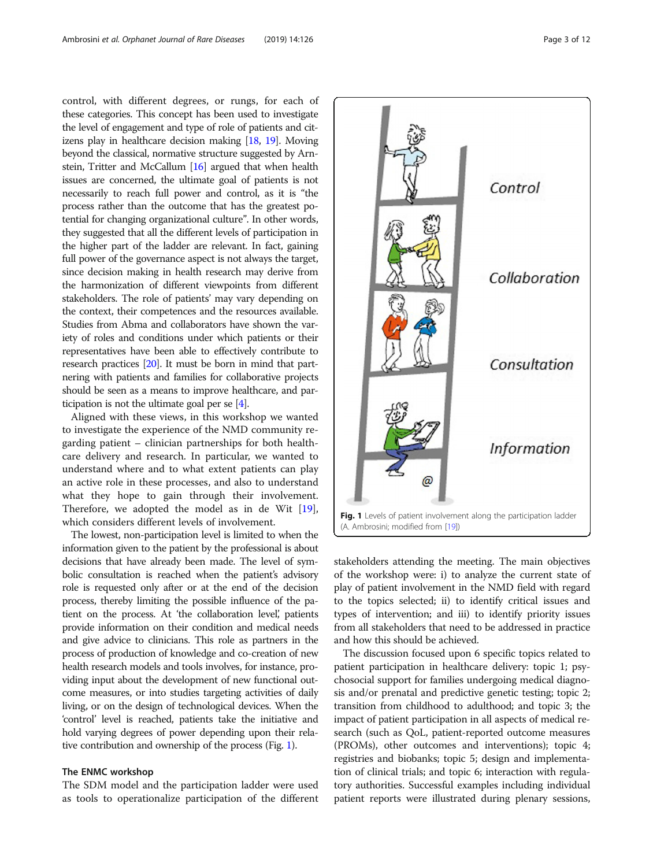control, with different degrees, or rungs, for each of these categories. This concept has been used to investigate the level of engagement and type of role of patients and citizens play in healthcare decision making [[18](#page-10-0), [19](#page-10-0)]. Moving beyond the classical, normative structure suggested by Arnstein, Tritter and McCallum [\[16\]](#page-10-0) argued that when health issues are concerned, the ultimate goal of patients is not necessarily to reach full power and control, as it is "the process rather than the outcome that has the greatest potential for changing organizational culture". In other words, they suggested that all the different levels of participation in the higher part of the ladder are relevant. In fact, gaining full power of the governance aspect is not always the target, since decision making in health research may derive from the harmonization of different viewpoints from different stakeholders. The role of patients' may vary depending on the context, their competences and the resources available. Studies from Abma and collaborators have shown the variety of roles and conditions under which patients or their representatives have been able to effectively contribute to research practices [\[20\]](#page-10-0). It must be born in mind that partnering with patients and families for collaborative projects should be seen as a means to improve healthcare, and participation is not the ultimate goal per se  $[4]$  $[4]$  $[4]$ .

Aligned with these views, in this workshop we wanted to investigate the experience of the NMD community regarding patient – clinician partnerships for both healthcare delivery and research. In particular, we wanted to understand where and to what extent patients can play an active role in these processes, and also to understand what they hope to gain through their involvement. Therefore, we adopted the model as in de Wit [\[19](#page-10-0)], which considers different levels of involvement.

The lowest, non-participation level is limited to when the information given to the patient by the professional is about decisions that have already been made. The level of symbolic consultation is reached when the patient's advisory role is requested only after or at the end of the decision process, thereby limiting the possible influence of the patient on the process. At 'the collaboration level', patients provide information on their condition and medical needs and give advice to clinicians. This role as partners in the process of production of knowledge and co-creation of new health research models and tools involves, for instance, providing input about the development of new functional outcome measures, or into studies targeting activities of daily living, or on the design of technological devices. When the 'control' level is reached, patients take the initiative and hold varying degrees of power depending upon their relative contribution and ownership of the process (Fig. 1).

### The ENMC workshop

The SDM model and the participation ladder were used as tools to operationalize participation of the different



stakeholders attending the meeting. The main objectives of the workshop were: i) to analyze the current state of play of patient involvement in the NMD field with regard to the topics selected; ii) to identify critical issues and types of intervention; and iii) to identify priority issues from all stakeholders that need to be addressed in practice and how this should be achieved.

The discussion focused upon 6 specific topics related to patient participation in healthcare delivery: topic 1; psychosocial support for families undergoing medical diagnosis and/or prenatal and predictive genetic testing; topic 2; transition from childhood to adulthood; and topic 3; the impact of patient participation in all aspects of medical research (such as QoL, patient-reported outcome measures (PROMs), other outcomes and interventions); topic 4; registries and biobanks; topic 5; design and implementation of clinical trials; and topic 6; interaction with regulatory authorities. Successful examples including individual patient reports were illustrated during plenary sessions,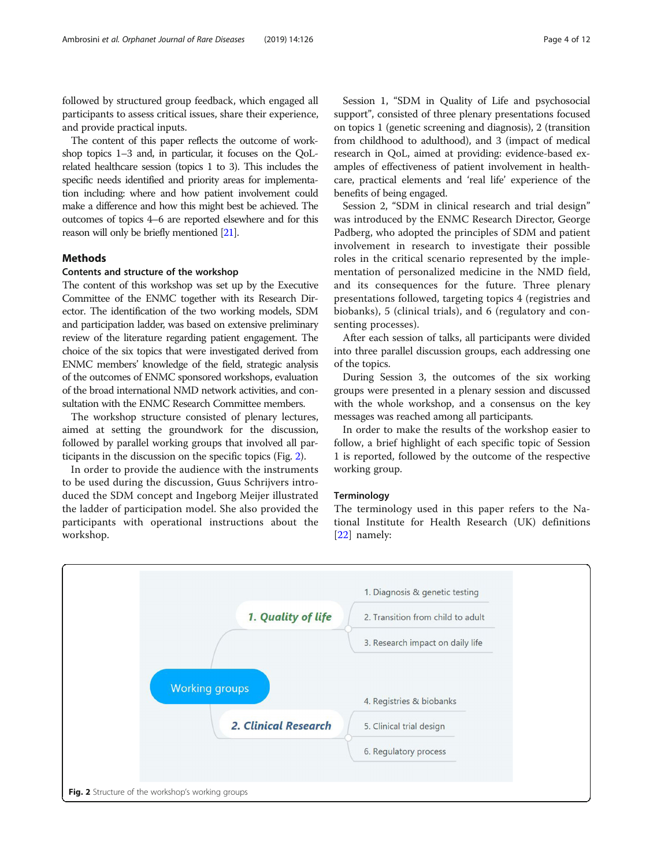followed by structured group feedback, which engaged all participants to assess critical issues, share their experience, and provide practical inputs.

The content of this paper reflects the outcome of workshop topics 1–3 and, in particular, it focuses on the QoLrelated healthcare session (topics 1 to 3). This includes the specific needs identified and priority areas for implementation including: where and how patient involvement could make a difference and how this might best be achieved. The outcomes of topics 4–6 are reported elsewhere and for this reason will only be briefly mentioned [\[21](#page-10-0)].

## Methods

### Contents and structure of the workshop

The content of this workshop was set up by the Executive Committee of the ENMC together with its Research Director. The identification of the two working models, SDM and participation ladder, was based on extensive preliminary review of the literature regarding patient engagement. The choice of the six topics that were investigated derived from ENMC members' knowledge of the field, strategic analysis of the outcomes of ENMC sponsored workshops, evaluation of the broad international NMD network activities, and consultation with the ENMC Research Committee members.

The workshop structure consisted of plenary lectures, aimed at setting the groundwork for the discussion, followed by parallel working groups that involved all participants in the discussion on the specific topics (Fig. 2).

In order to provide the audience with the instruments to be used during the discussion, Guus Schrijvers introduced the SDM concept and Ingeborg Meijer illustrated the ladder of participation model. She also provided the participants with operational instructions about the workshop.

Session 1, "SDM in Quality of Life and psychosocial support", consisted of three plenary presentations focused on topics 1 (genetic screening and diagnosis), 2 (transition from childhood to adulthood), and 3 (impact of medical research in QoL, aimed at providing: evidence-based examples of effectiveness of patient involvement in healthcare, practical elements and 'real life' experience of the benefits of being engaged.

Session 2, "SDM in clinical research and trial design" was introduced by the ENMC Research Director, George Padberg, who adopted the principles of SDM and patient involvement in research to investigate their possible roles in the critical scenario represented by the implementation of personalized medicine in the NMD field, and its consequences for the future. Three plenary presentations followed, targeting topics 4 (registries and biobanks), 5 (clinical trials), and 6 (regulatory and consenting processes).

After each session of talks, all participants were divided into three parallel discussion groups, each addressing one of the topics.

During Session 3, the outcomes of the six working groups were presented in a plenary session and discussed with the whole workshop, and a consensus on the key messages was reached among all participants.

In order to make the results of the workshop easier to follow, a brief highlight of each specific topic of Session 1 is reported, followed by the outcome of the respective working group.

### **Terminology**

The terminology used in this paper refers to the National Institute for Health Research (UK) definitions [[22\]](#page-10-0) namely:

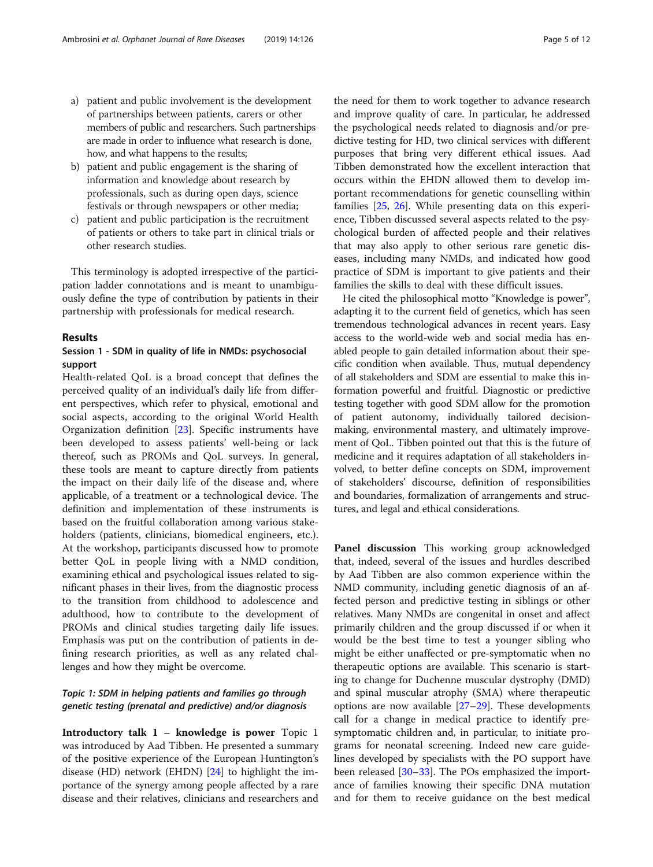- a) patient and public involvement is the development of partnerships between patients, carers or other members of public and researchers. Such partnerships are made in order to influence what research is done, how, and what happens to the results;
- b) patient and public engagement is the sharing of information and knowledge about research by professionals, such as during open days, science festivals or through newspapers or other media;
- c) patient and public participation is the recruitment of patients or others to take part in clinical trials or other research studies.

This terminology is adopted irrespective of the participation ladder connotations and is meant to unambiguously define the type of contribution by patients in their partnership with professionals for medical research.

### Results

# Session 1 - SDM in quality of life in NMDs: psychosocial support

Health-related QoL is a broad concept that defines the perceived quality of an individual's daily life from different perspectives, which refer to physical, emotional and social aspects, according to the original World Health Organization definition [\[23\]](#page-10-0). Specific instruments have been developed to assess patients' well-being or lack thereof, such as PROMs and QoL surveys. In general, these tools are meant to capture directly from patients the impact on their daily life of the disease and, where applicable, of a treatment or a technological device. The definition and implementation of these instruments is based on the fruitful collaboration among various stakeholders (patients, clinicians, biomedical engineers, etc.). At the workshop, participants discussed how to promote better QoL in people living with a NMD condition, examining ethical and psychological issues related to significant phases in their lives, from the diagnostic process to the transition from childhood to adolescence and adulthood, how to contribute to the development of PROMs and clinical studies targeting daily life issues. Emphasis was put on the contribution of patients in defining research priorities, as well as any related challenges and how they might be overcome.

# Topic 1: SDM in helping patients and families go through genetic testing (prenatal and predictive) and/or diagnosis

Introductory talk 1 – knowledge is power Topic 1 was introduced by Aad Tibben. He presented a summary of the positive experience of the European Huntington's disease (HD) network (EHDN) [[24](#page-10-0)] to highlight the importance of the synergy among people affected by a rare disease and their relatives, clinicians and researchers and the need for them to work together to advance research and improve quality of care. In particular, he addressed the psychological needs related to diagnosis and/or predictive testing for HD, two clinical services with different purposes that bring very different ethical issues. Aad Tibben demonstrated how the excellent interaction that occurs within the EHDN allowed them to develop important recommendations for genetic counselling within families [\[25](#page-10-0), [26](#page-10-0)]. While presenting data on this experience, Tibben discussed several aspects related to the psychological burden of affected people and their relatives that may also apply to other serious rare genetic diseases, including many NMDs, and indicated how good practice of SDM is important to give patients and their families the skills to deal with these difficult issues.

He cited the philosophical motto "Knowledge is power", adapting it to the current field of genetics, which has seen tremendous technological advances in recent years. Easy access to the world-wide web and social media has enabled people to gain detailed information about their specific condition when available. Thus, mutual dependency of all stakeholders and SDM are essential to make this information powerful and fruitful. Diagnostic or predictive testing together with good SDM allow for the promotion of patient autonomy, individually tailored decisionmaking, environmental mastery, and ultimately improvement of QoL. Tibben pointed out that this is the future of medicine and it requires adaptation of all stakeholders involved, to better define concepts on SDM, improvement of stakeholders' discourse, definition of responsibilities and boundaries, formalization of arrangements and structures, and legal and ethical considerations.

Panel discussion This working group acknowledged that, indeed, several of the issues and hurdles described by Aad Tibben are also common experience within the NMD community, including genetic diagnosis of an affected person and predictive testing in siblings or other relatives. Many NMDs are congenital in onset and affect primarily children and the group discussed if or when it would be the best time to test a younger sibling who might be either unaffected or pre-symptomatic when no therapeutic options are available. This scenario is starting to change for Duchenne muscular dystrophy (DMD) and spinal muscular atrophy (SMA) where therapeutic options are now available [[27](#page-10-0)–[29](#page-10-0)]. These developments call for a change in medical practice to identify presymptomatic children and, in particular, to initiate programs for neonatal screening. Indeed new care guidelines developed by specialists with the PO support have been released [[30](#page-10-0)–[33](#page-10-0)]. The POs emphasized the importance of families knowing their specific DNA mutation and for them to receive guidance on the best medical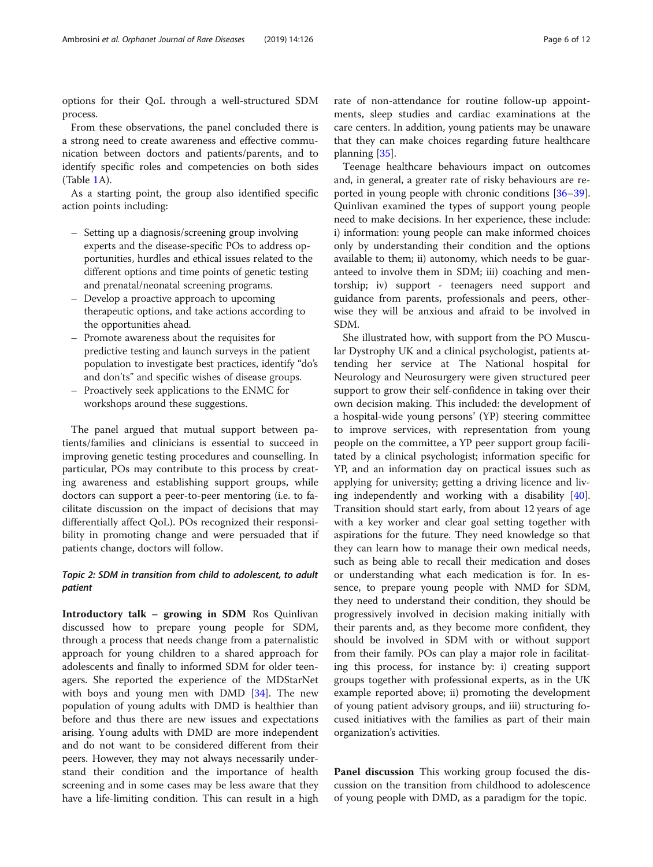options for their QoL through a well-structured SDM process.

From these observations, the panel concluded there is a strong need to create awareness and effective communication between doctors and patients/parents, and to identify specific roles and competencies on both sides (Table [1A](#page-6-0)).

As a starting point, the group also identified specific action points including:

- Setting up a diagnosis/screening group involving experts and the disease-specific POs to address opportunities, hurdles and ethical issues related to the different options and time points of genetic testing and prenatal/neonatal screening programs.
- Develop a proactive approach to upcoming therapeutic options, and take actions according to the opportunities ahead.
- Promote awareness about the requisites for predictive testing and launch surveys in the patient population to investigate best practices, identify "do's and don'ts" and specific wishes of disease groups.
- Proactively seek applications to the ENMC for workshops around these suggestions.

The panel argued that mutual support between patients/families and clinicians is essential to succeed in improving genetic testing procedures and counselling. In particular, POs may contribute to this process by creating awareness and establishing support groups, while doctors can support a peer-to-peer mentoring (i.e. to facilitate discussion on the impact of decisions that may differentially affect QoL). POs recognized their responsibility in promoting change and were persuaded that if patients change, doctors will follow.

# Topic 2: SDM in transition from child to adolescent, to adult patient

Introductory talk – growing in SDM Ros Quinlivan discussed how to prepare young people for SDM, through a process that needs change from a paternalistic approach for young children to a shared approach for adolescents and finally to informed SDM for older teenagers. She reported the experience of the MDStarNet with boys and young men with DMD [\[34\]](#page-10-0). The new population of young adults with DMD is healthier than before and thus there are new issues and expectations arising. Young adults with DMD are more independent and do not want to be considered different from their peers. However, they may not always necessarily understand their condition and the importance of health screening and in some cases may be less aware that they have a life-limiting condition. This can result in a high

rate of non-attendance for routine follow-up appointments, sleep studies and cardiac examinations at the care centers. In addition, young patients may be unaware that they can make choices regarding future healthcare planning [[35](#page-10-0)].

Teenage healthcare behaviours impact on outcomes and, in general, a greater rate of risky behaviours are reported in young people with chronic conditions [[36](#page-10-0)–[39](#page-10-0)]. Quinlivan examined the types of support young people need to make decisions. In her experience, these include: i) information: young people can make informed choices only by understanding their condition and the options available to them; ii) autonomy, which needs to be guaranteed to involve them in SDM; iii) coaching and mentorship; iv) support - teenagers need support and guidance from parents, professionals and peers, otherwise they will be anxious and afraid to be involved in SDM.

She illustrated how, with support from the PO Muscular Dystrophy UK and a clinical psychologist, patients attending her service at The National hospital for Neurology and Neurosurgery were given structured peer support to grow their self-confidence in taking over their own decision making. This included: the development of a hospital-wide young persons' (YP) steering committee to improve services, with representation from young people on the committee, a YP peer support group facilitated by a clinical psychologist; information specific for YP, and an information day on practical issues such as applying for university; getting a driving licence and living independently and working with a disability [\[40](#page-10-0)]. Transition should start early, from about 12 years of age with a key worker and clear goal setting together with aspirations for the future. They need knowledge so that they can learn how to manage their own medical needs, such as being able to recall their medication and doses or understanding what each medication is for. In essence, to prepare young people with NMD for SDM, they need to understand their condition, they should be progressively involved in decision making initially with their parents and, as they become more confident, they should be involved in SDM with or without support from their family. POs can play a major role in facilitating this process, for instance by: i) creating support groups together with professional experts, as in the UK example reported above; ii) promoting the development of young patient advisory groups, and iii) structuring focused initiatives with the families as part of their main organization's activities.

Panel discussion This working group focused the discussion on the transition from childhood to adolescence of young people with DMD, as a paradigm for the topic.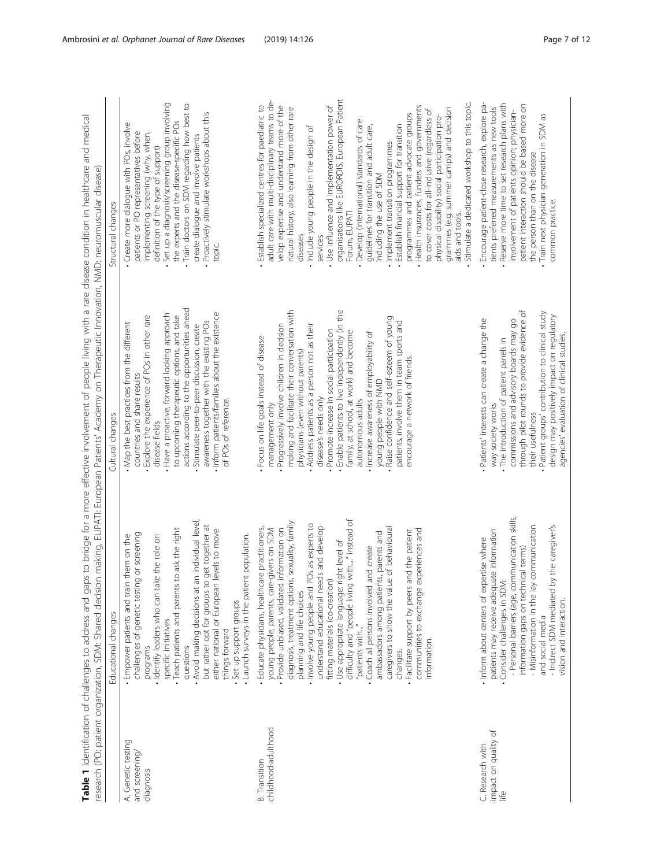<span id="page-6-0"></span>

|                                                   | Educational changes                                                                                                                                                                                                                                                                                                                                                                                                                                                                                                                                                                                                                                                                                                                                  | Cultural changes                                                                                                                                                                                                                                                                                                                                                                                                                                                                                                                                                                                                               | Structural changes                                                                                                                                                                                                                                                                                                                                                                                                                                                                                                                                                                                                                                                                                                                                                                                                                                                                                                   |
|---------------------------------------------------|------------------------------------------------------------------------------------------------------------------------------------------------------------------------------------------------------------------------------------------------------------------------------------------------------------------------------------------------------------------------------------------------------------------------------------------------------------------------------------------------------------------------------------------------------------------------------------------------------------------------------------------------------------------------------------------------------------------------------------------------------|--------------------------------------------------------------------------------------------------------------------------------------------------------------------------------------------------------------------------------------------------------------------------------------------------------------------------------------------------------------------------------------------------------------------------------------------------------------------------------------------------------------------------------------------------------------------------------------------------------------------------------|----------------------------------------------------------------------------------------------------------------------------------------------------------------------------------------------------------------------------------------------------------------------------------------------------------------------------------------------------------------------------------------------------------------------------------------------------------------------------------------------------------------------------------------------------------------------------------------------------------------------------------------------------------------------------------------------------------------------------------------------------------------------------------------------------------------------------------------------------------------------------------------------------------------------|
| A. Genetic testing<br>and screening/<br>diagnosis | an individual level<br>but rather opt for groups to get together at<br>to ask the right<br>either national or European levels to move<br>challenges of genetic testing or screening<br>. Launch surveys in the patient population.<br>n them on the<br>· Identify leaders who can take the role on<br>Teach patients and parents<br>· Empower patients and trail<br>Avoid making decisions at<br>. Set up support groups<br>specific initiatives<br>things forward<br>questions<br>programs                                                                                                                                                                                                                                                          | actions according to the opportunities ahead<br>Inform patients/families about the existence<br>Have a proactive, forward looking approach<br>Explore the experience of POs in other rare<br>to upcoming therapeutic options, and take<br>awareness together with the existing POs<br>. Map the best practices from the different<br>Stimulate peer-to-peer discussion, create<br>countries and share results<br>of POs of reference.<br>disease fields                                                                                                                                                                        | • Set up a diagnosis/screening group involving<br>. Train doctors on SDM regarding how best to<br>· Proactively stimulate workshops about this<br>the experts and the disease-specific POs<br>Create more dialogue with POs, involve<br>patients or PO representatives before<br>implementing screening (why, when,<br>create dialogue and involve patients<br>definition of the type of support)<br>topic.                                                                                                                                                                                                                                                                                                                                                                                                                                                                                                          |
| childhood-adulthood<br><b>B.</b> Transition       | difficulty and "people living with" instead of<br>diagnosis, treatment options, sexuality, family<br>POs as experts to<br>· Educate physicians, healthcare practitioners,<br>understand educational needs and develop<br>caregivers to show the value of behavioural<br>young people, parents, care-givers on SDM<br>· Provide unbiased, validated information on<br>experiences and<br>and the patient<br>ambassadors among patients, parents and<br>right level of<br>Coach all persons involved and create<br>fitting materials (co-creation)<br>- Facilitate support by peers<br>. Involve young people and<br>· Use appropriate language:<br>communities to exchange<br>planning and life choices<br>"patients with<br>information.<br>changes. | Enable patients to live independently (in the<br>making and facilitate their conversation with<br>Raise confidence and self-esteem of young<br>patients, involve them in team sports and<br>Progressively involve children in decision<br>Address patients as a person not as their<br>Promote increase in social participation<br>family, at school, at work) and become<br>Increase awareness of employability of<br>Focus on life goals instead of disease<br>physicians (even without parents)<br>encourage a network of friends.<br>young people with NMD<br>disease's needs only<br>autonomous adults<br>management only | adult care with multi-disciplinary teams to de-<br>organisations like EURORDIS, European Patient<br>Stimulate a dedicated workshop to this topic.<br>- Establish specialized centres for paediatric to<br>velop expertise and understand more of the<br>. Use influence and implementation power of<br>· Health insurances, funders and governments<br>natural history, also learning from other rare<br>grammes (e.g. summer camps) and decision<br>to cover costs for all-inclusive (regardless of<br>programmes and patient advocate groups<br>physical disability) social participation pro-<br>· Develop (international) standards of care<br>- Establish financial support for transition<br>guidelines for transition and adult care,<br>• Include young people in the design of<br>. Implement transition programmes<br>including the use of SDM<br>Forum, EUPATI<br>aids and tools.<br>diseases<br>services |
| impact on quality of<br>C. Research with          | - Personal barriers (age, communication skills,<br>- Misinformation in the lay communication<br>by the caregiver's<br>patients may receive adequate information<br>. Inform about centers of expertise where<br>nical terms)<br>Consider challenges in SDM:<br>information gaps on tech<br>- Indirect SDM mediated<br>vision and interaction.<br>and social media                                                                                                                                                                                                                                                                                                                                                                                    | through pilot rounds to provide evidence of<br>. Patient groups' contribution to clinical study<br>design may positively impact on regulatory<br>Patients' interests can create a change the<br>commissions and advisory boards may go<br>agencies' evaluation of clinical studies.<br>. The introduction of patient panels in<br>way society works<br>their usefulness                                                                                                                                                                                                                                                        | · Encourage patient-close research, explore pa-<br>. Reserve more time to set research plans with<br>patient interaction should be based more on<br>tients preferred measurements as new tools<br>involvement of patients opinion; physician-<br>· Train next physician generation in SDM as<br>the person than on the disease<br>common practice.                                                                                                                                                                                                                                                                                                                                                                                                                                                                                                                                                                   |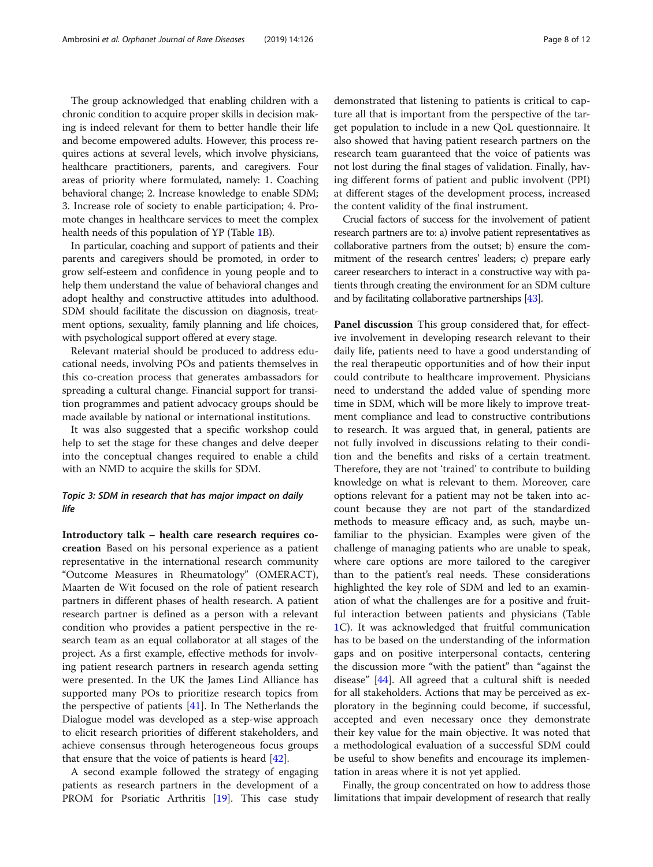The group acknowledged that enabling children with a chronic condition to acquire proper skills in decision making is indeed relevant for them to better handle their life and become empowered adults. However, this process requires actions at several levels, which involve physicians, healthcare practitioners, parents, and caregivers. Four areas of priority where formulated, namely: 1. Coaching behavioral change; 2. Increase knowledge to enable SDM; 3. Increase role of society to enable participation; 4. Promote changes in healthcare services to meet the complex health needs of this population of YP (Table [1B](#page-6-0)).

In particular, coaching and support of patients and their parents and caregivers should be promoted, in order to grow self-esteem and confidence in young people and to help them understand the value of behavioral changes and adopt healthy and constructive attitudes into adulthood. SDM should facilitate the discussion on diagnosis, treatment options, sexuality, family planning and life choices, with psychological support offered at every stage.

Relevant material should be produced to address educational needs, involving POs and patients themselves in this co-creation process that generates ambassadors for spreading a cultural change. Financial support for transition programmes and patient advocacy groups should be made available by national or international institutions.

It was also suggested that a specific workshop could help to set the stage for these changes and delve deeper into the conceptual changes required to enable a child with an NMD to acquire the skills for SDM.

# Topic 3: SDM in research that has major impact on daily life

Introductory talk – health care research requires cocreation Based on his personal experience as a patient representative in the international research community "Outcome Measures in Rheumatology" (OMERACT), Maarten de Wit focused on the role of patient research partners in different phases of health research. A patient research partner is defined as a person with a relevant condition who provides a patient perspective in the research team as an equal collaborator at all stages of the project. As a first example, effective methods for involving patient research partners in research agenda setting were presented. In the UK the James Lind Alliance has supported many POs to prioritize research topics from the perspective of patients [\[41](#page-10-0)]. In The Netherlands the Dialogue model was developed as a step-wise approach to elicit research priorities of different stakeholders, and achieve consensus through heterogeneous focus groups that ensure that the voice of patients is heard [[42\]](#page-10-0).

A second example followed the strategy of engaging patients as research partners in the development of a PROM for Psoriatic Arthritis [[19](#page-10-0)]. This case study

demonstrated that listening to patients is critical to capture all that is important from the perspective of the target population to include in a new QoL questionnaire. It also showed that having patient research partners on the research team guaranteed that the voice of patients was not lost during the final stages of validation. Finally, having different forms of patient and public involvent (PPI) at different stages of the development process, increased the content validity of the final instrument.

Crucial factors of success for the involvement of patient research partners are to: a) involve patient representatives as collaborative partners from the outset; b) ensure the commitment of the research centres' leaders; c) prepare early career researchers to interact in a constructive way with patients through creating the environment for an SDM culture and by facilitating collaborative partnerships [\[43](#page-11-0)].

Panel discussion This group considered that, for effective involvement in developing research relevant to their daily life, patients need to have a good understanding of the real therapeutic opportunities and of how their input could contribute to healthcare improvement. Physicians need to understand the added value of spending more time in SDM, which will be more likely to improve treatment compliance and lead to constructive contributions to research. It was argued that, in general, patients are not fully involved in discussions relating to their condition and the benefits and risks of a certain treatment. Therefore, they are not 'trained' to contribute to building knowledge on what is relevant to them. Moreover, care options relevant for a patient may not be taken into account because they are not part of the standardized methods to measure efficacy and, as such, maybe unfamiliar to the physician. Examples were given of the challenge of managing patients who are unable to speak, where care options are more tailored to the caregiver than to the patient's real needs. These considerations highlighted the key role of SDM and led to an examination of what the challenges are for a positive and fruitful interaction between patients and physicians (Table [1C](#page-6-0)). It was acknowledged that fruitful communication has to be based on the understanding of the information gaps and on positive interpersonal contacts, centering the discussion more "with the patient" than "against the disease" [[44](#page-11-0)]. All agreed that a cultural shift is needed for all stakeholders. Actions that may be perceived as exploratory in the beginning could become, if successful, accepted and even necessary once they demonstrate their key value for the main objective. It was noted that a methodological evaluation of a successful SDM could be useful to show benefits and encourage its implementation in areas where it is not yet applied.

Finally, the group concentrated on how to address those limitations that impair development of research that really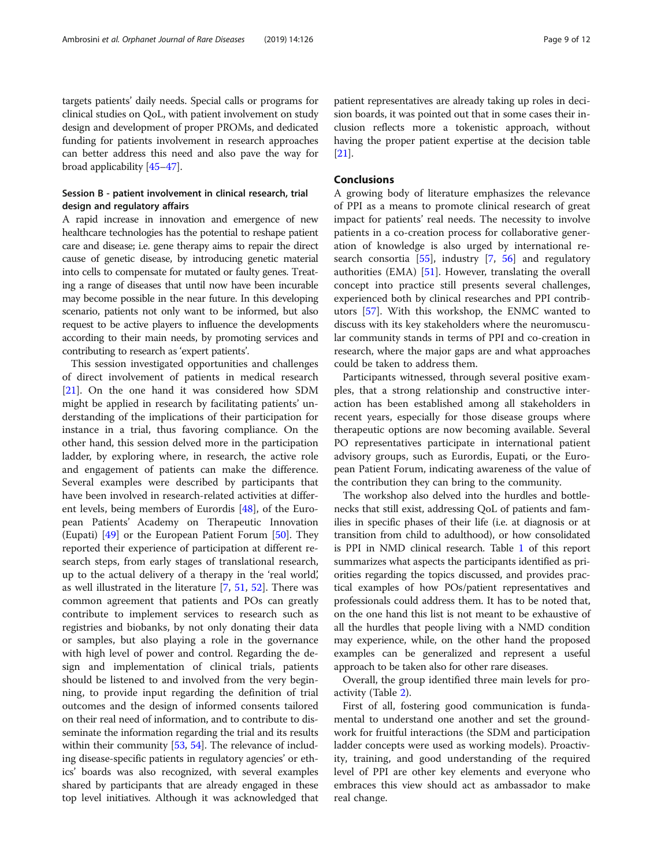targets patients' daily needs. Special calls or programs for clinical studies on QoL, with patient involvement on study design and development of proper PROMs, and dedicated funding for patients involvement in research approaches can better address this need and also pave the way for broad applicability [\[45](#page-11-0)–[47](#page-11-0)].

# Session B - patient involvement in clinical research, trial design and regulatory affairs

A rapid increase in innovation and emergence of new healthcare technologies has the potential to reshape patient care and disease; i.e. gene therapy aims to repair the direct cause of genetic disease, by introducing genetic material into cells to compensate for mutated or faulty genes. Treating a range of diseases that until now have been incurable may become possible in the near future. In this developing scenario, patients not only want to be informed, but also request to be active players to influence the developments according to their main needs, by promoting services and contributing to research as 'expert patients'.

This session investigated opportunities and challenges of direct involvement of patients in medical research [[21\]](#page-10-0). On the one hand it was considered how SDM might be applied in research by facilitating patients' understanding of the implications of their participation for instance in a trial, thus favoring compliance. On the other hand, this session delved more in the participation ladder, by exploring where, in research, the active role and engagement of patients can make the difference. Several examples were described by participants that have been involved in research-related activities at different levels, being members of Eurordis [[48\]](#page-11-0), of the European Patients' Academy on Therapeutic Innovation (Eupati) [\[49\]](#page-11-0) or the European Patient Forum [\[50\]](#page-11-0). They reported their experience of participation at different research steps, from early stages of translational research, up to the actual delivery of a therapy in the 'real world', as well illustrated in the literature [[7,](#page-10-0) [51,](#page-11-0) [52](#page-11-0)]. There was common agreement that patients and POs can greatly contribute to implement services to research such as registries and biobanks, by not only donating their data or samples, but also playing a role in the governance with high level of power and control. Regarding the design and implementation of clinical trials, patients should be listened to and involved from the very beginning, to provide input regarding the definition of trial outcomes and the design of informed consents tailored on their real need of information, and to contribute to disseminate the information regarding the trial and its results within their community [\[53,](#page-11-0) [54](#page-11-0)]. The relevance of including disease-specific patients in regulatory agencies' or ethics' boards was also recognized, with several examples shared by participants that are already engaged in these top level initiatives. Although it was acknowledged that patient representatives are already taking up roles in decision boards, it was pointed out that in some cases their inclusion reflects more a tokenistic approach, without having the proper patient expertise at the decision table [[21](#page-10-0)].

# Conclusions

A growing body of literature emphasizes the relevance of PPI as a means to promote clinical research of great impact for patients' real needs. The necessity to involve patients in a co-creation process for collaborative generation of knowledge is also urged by international research consortia  $[55]$  $[55]$  $[55]$ , industry  $[7, 56]$  $[7, 56]$  $[7, 56]$  and regulatory authorities (EMA) [\[51\]](#page-11-0). However, translating the overall concept into practice still presents several challenges, experienced both by clinical researches and PPI contributors [[57](#page-11-0)]. With this workshop, the ENMC wanted to discuss with its key stakeholders where the neuromuscular community stands in terms of PPI and co-creation in research, where the major gaps are and what approaches could be taken to address them.

Participants witnessed, through several positive examples, that a strong relationship and constructive interaction has been established among all stakeholders in recent years, especially for those disease groups where therapeutic options are now becoming available. Several PO representatives participate in international patient advisory groups, such as Eurordis, Eupati, or the European Patient Forum, indicating awareness of the value of the contribution they can bring to the community.

The workshop also delved into the hurdles and bottlenecks that still exist, addressing QoL of patients and families in specific phases of their life (i.e. at diagnosis or at transition from child to adulthood), or how consolidated is PPI in NMD clinical research. Table [1](#page-6-0) of this report summarizes what aspects the participants identified as priorities regarding the topics discussed, and provides practical examples of how POs/patient representatives and professionals could address them. It has to be noted that, on the one hand this list is not meant to be exhaustive of all the hurdles that people living with a NMD condition may experience, while, on the other hand the proposed examples can be generalized and represent a useful approach to be taken also for other rare diseases.

Overall, the group identified three main levels for proactivity (Table [2](#page-9-0)).

First of all, fostering good communication is fundamental to understand one another and set the groundwork for fruitful interactions (the SDM and participation ladder concepts were used as working models). Proactivity, training, and good understanding of the required level of PPI are other key elements and everyone who embraces this view should act as ambassador to make real change.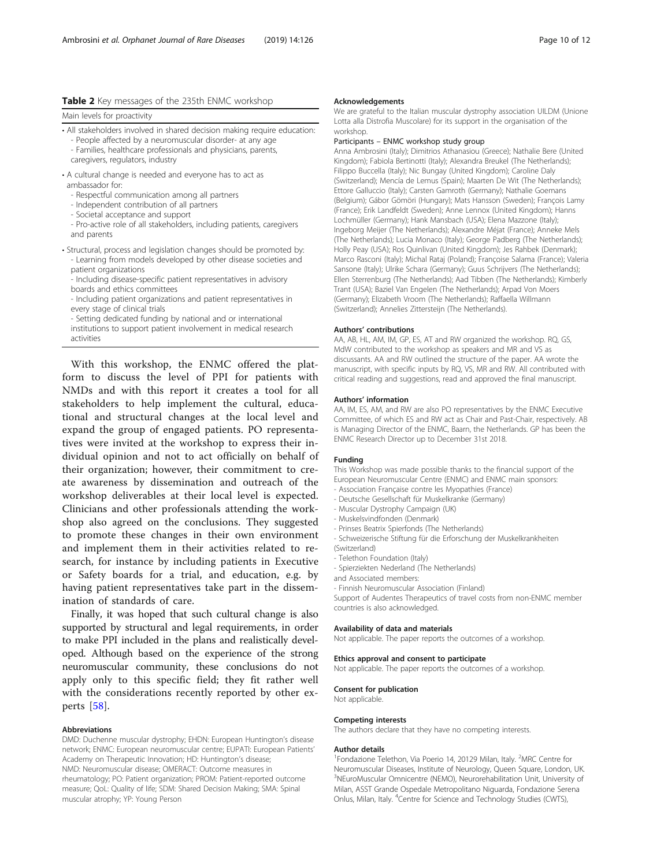### <span id="page-9-0"></span>Table 2 Key messages of the 235th ENMC workshop

Main levels for proactivity

- All stakeholders involved in shared decision making require education: - People affected by a neuromuscular disorder- at any age
	- Families, healthcare professionals and physicians, parents,
	- caregivers, regulators, industry
- A cultural change is needed and everyone has to act as ambassador for:
	- Respectful communication among all partners
	- Independent contribution of all partners
	- Societal acceptance and support
	- Pro-active role of all stakeholders, including patients, caregivers and parents
- Structural, process and legislation changes should be promoted by: - Learning from models developed by other disease societies and
	- patient organizations - Including disease-specific patient representatives in advisory
	- boards and ethics committees
	- Including patient organizations and patient representatives in every stage of clinical trials
	- Setting dedicated funding by national and or international
	- institutions to support patient involvement in medical research activities

With this workshop, the ENMC offered the platform to discuss the level of PPI for patients with NMDs and with this report it creates a tool for all stakeholders to help implement the cultural, educational and structural changes at the local level and expand the group of engaged patients. PO representatives were invited at the workshop to express their individual opinion and not to act officially on behalf of their organization; however, their commitment to create awareness by dissemination and outreach of the workshop deliverables at their local level is expected. Clinicians and other professionals attending the workshop also agreed on the conclusions. They suggested to promote these changes in their own environment and implement them in their activities related to research, for instance by including patients in Executive or Safety boards for a trial, and education, e.g. by having patient representatives take part in the dissemination of standards of care.

Finally, it was hoped that such cultural change is also supported by structural and legal requirements, in order to make PPI included in the plans and realistically developed. Although based on the experience of the strong neuromuscular community, these conclusions do not apply only to this specific field; they fit rather well with the considerations recently reported by other experts [[58\]](#page-11-0).

#### Abbreviations

DMD: Duchenne muscular dystrophy; EHDN: European Huntington's disease network; ENMC: European neuromuscular centre; EUPATI: European Patients' Academy on Therapeutic Innovation; HD: Huntington's disease; NMD: Neuromuscular disease; OMERACT: Outcome measures in rheumatology; PO: Patient organization; PROM: Patient-reported outcome measure; QoL: Quality of life; SDM: Shared Decision Making; SMA: Spinal muscular atrophy; YP: Young Person

### Acknowledgements

We are grateful to the Italian muscular dystrophy association UILDM (Unione Lotta alla Distrofia Muscolare) for its support in the organisation of the workshop.

#### Participants – ENMC workshop study group

Anna Ambrosini (Italy); Dimitrios Athanasiou (Greece); Nathalie Bere (United Kingdom); Fabiola Bertinotti (Italy); Alexandra Breukel (The Netherlands); Filippo Buccella (Italy); Nic Bungay (United Kingdom); Caroline Daly (Switzerland); Mencía de Lemus (Spain); Maarten De Wit (The Netherlands); Ettore Galluccio (Italy); Carsten Gamroth (Germany); Nathalie Goemans (Belgium); Gábor Gömöri (Hungary); Mats Hansson (Sweden); François Lamy (France); Erik Landfeldt (Sweden); Anne Lennox (United Kingdom); Hanns Lochmüller (Germany); Hank Mansbach (USA); Elena Mazzone (Italy); Ingeborg Meijer (The Netherlands); Alexandre Méjat (France); Anneke Mels (The Netherlands); Lucia Monaco (Italy); George Padberg (The Netherlands); Holly Peay (USA); Ros Quinlivan (United Kingdom); Jes Rahbek (Denmark); Marco Rasconi (Italy); Michal Rataj (Poland); Françoise Salama (France); Valeria Sansone (Italy); Ulrike Schara (Germany); Guus Schrijvers (The Netherlands); Ellen Sterrenburg (The Netherlands); Aad Tibben (The Netherlands); Kimberly Trant (USA); Baziel Van Engelen (The Netherlands); Arpad Von Moers (Germany); Elizabeth Vroom (The Netherlands); Raffaella Willmann (Switzerland); Annelies Zittersteijn (The Netherlands).

#### Authors' contributions

AA, AB, HL, AM, IM, GP, ES, AT and RW organized the workshop. RQ, GS, MdW contributed to the workshop as speakers and MR and VS as discussants. AA and RW outlined the structure of the paper. AA wrote the manuscript, with specific inputs by RQ, VS, MR and RW. All contributed with critical reading and suggestions, read and approved the final manuscript.

#### Authors' information

AA, IM, ES, AM, and RW are also PO representatives by the ENMC Executive Committee, of which ES and RW act as Chair and Past-Chair, respectively. AB is Managing Director of the ENMC, Baarn, the Netherlands. GP has been the ENMC Research Director up to December 31st 2018.

### Funding

This Workshop was made possible thanks to the financial support of the European Neuromuscular Centre (ENMC) and ENMC main sponsors:

- Association Française contre les Myopathies (France)
- Deutsche Gesellschaft für Muskelkranke (Germany)
- Muscular Dystrophy Campaign (UK)
- Muskelsvindfonden (Denmark)
- Prinses Beatrix Spierfonds (The Netherlands)
- Schweizerische Stiftung für die Erforschung der Muskelkrankheiten
- (Switzerland)
- Telethon Foundation (Italy)
- Spierziekten Nederland (The Netherlands)
- and Associated members:
- Finnish Neuromuscular Association (Finland)

Support of Audentes Therapeutics of travel costs from non-ENMC member countries is also acknowledged.

#### Availability of data and materials

Not applicable. The paper reports the outcomes of a workshop.

#### Ethics approval and consent to participate

Not applicable. The paper reports the outcomes of a workshop.

# Consent for publication

Not applicable.

#### Competing interests

The authors declare that they have no competing interests.

#### Author details

<sup>1</sup> Fondazione Telethon, Via Poerio 14, 20129 Milan, Italy. <sup>2</sup>MRC Centre for Neuromuscular Diseases, Institute of Neurology, Queen Square, London, UK. 3 NEuroMuscular Omnicentre (NEMO), Neurorehabilitation Unit, University of Milan, ASST Grande Ospedale Metropolitano Niguarda, Fondazione Serena Onlus, Milan, Italy. <sup>4</sup>Centre for Science and Technology Studies (CWTS)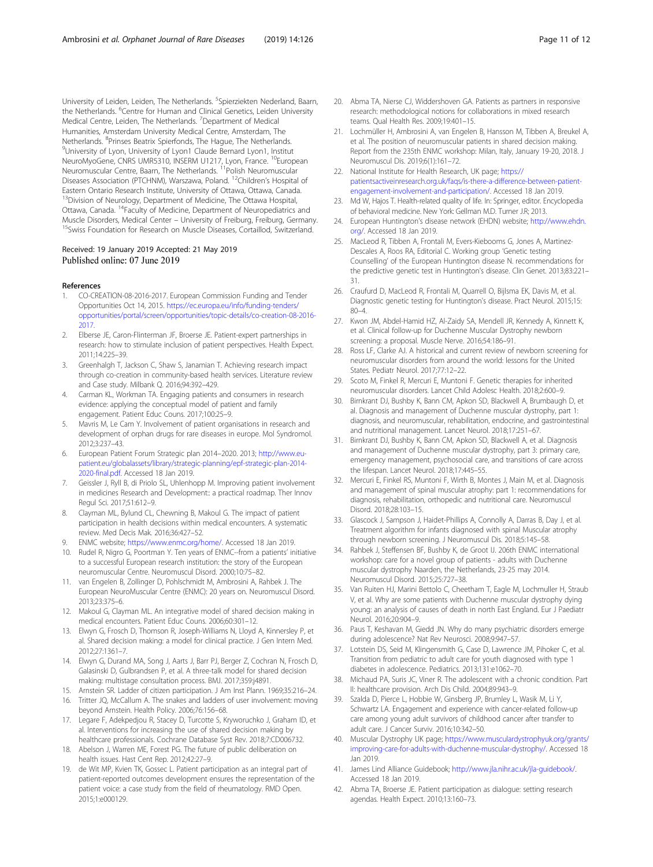<span id="page-10-0"></span>University of Leiden, Leiden, The Netherlands. <sup>5</sup>Spierziekten Nederland, Baarn, the Netherlands. <sup>6</sup>Centre for Human and Clinical Genetics, Leiden University Medical Centre, Leiden, The Netherlands. <sup>7</sup>Department of Medical Humanities, Amsterdam University Medical Centre, Amsterdam, The Netherlands. <sup>8</sup>Prinses Beatrix Spierfonds, The Hague, The Netherlands.<br><sup>9</sup>University of Lyon, University of Lyon1 Claude Bernard Lyon1, Institu <sup>9</sup>University of Lyon, University of Lyon1 Claude Bernard Lyon1, Institut NeuroMyoGene, CNRS UMR5310, INSERM U1217, Lyon, France. 10European Neuromuscular Centre, Baarn, The Netherlands. 11Polish Neuromuscular Diseases Association (PTCHNM), Warszawa, Poland. 12Children's Hospital of Eastern Ontario Research Institute, University of Ottawa, Ottawa, Canada. <sup>13</sup>Division of Neurology, Department of Medicine, The Ottawa Hospital, Ottawa, Canada. <sup>14</sup>Faculty of Medicine, Department of Neuropediatrics and<br>Muscle Disorders, Medical Center – University of Freiburg, Freiburg, Germany. <sup>15</sup>Swiss Foundation for Research on Muscle Diseases, Cortaillod, Switzerland.

### Received: 19 January 2019 Accepted: 21 May 2019 Published online: 07 June 2019

#### References

- 1. CO-CREATION-08-2016-2017. European Commission Funding and Tender Opportunities Oct 14, 2015. [https://ec.europa.eu/info/funding-tenders/](https://ec.europa.eu/info/funding-tenders/opportunities/portal/screen/opportunities/topic-details/co-creation-08-2016-2017) [opportunities/portal/screen/opportunities/topic-details/co-creation-08-2016-](https://ec.europa.eu/info/funding-tenders/opportunities/portal/screen/opportunities/topic-details/co-creation-08-2016-2017) [2017](https://ec.europa.eu/info/funding-tenders/opportunities/portal/screen/opportunities/topic-details/co-creation-08-2016-2017).
- 2. Elberse JE, Caron-Flinterman JF, Broerse JE. Patient-expert partnerships in research: how to stimulate inclusion of patient perspectives. Health Expect. 2011;14:225–39.
- 3. Greenhalgh T, Jackson C, Shaw S, Janamian T. Achieving research impact through co-creation in community-based health services. Literature review and Case study. Milbank Q. 2016;94:392–429.
- 4. Carman KL, Workman TA. Engaging patients and consumers in research evidence: applying the conceptual model of patient and family engagement. Patient Educ Couns. 2017;100:25–9.
- Mavris M, Le Cam Y. Involvement of patient organisations in research and development of orphan drugs for rare diseases in europe. Mol Syndromol. 2012;3:237–43.
- 6. European Patient Forum Strategic plan 2014–2020. 2013; [http://www.eu](http://www.eu-patient.eu/globalassets/library/strategic-planning/epf-strategic-plan-2014-2020-final.pdf)[patient.eu/globalassets/library/strategic-planning/epf-strategic-plan-2014-](http://www.eu-patient.eu/globalassets/library/strategic-planning/epf-strategic-plan-2014-2020-final.pdf) [2020-final.pdf.](http://www.eu-patient.eu/globalassets/library/strategic-planning/epf-strategic-plan-2014-2020-final.pdf) Accessed 18 Jan 2019.
- 7. Geissler J, Ryll B, di Priolo SL, Uhlenhopp M. Improving patient involvement in medicines Research and Development:: a practical roadmap. Ther Innov Regul Sci. 2017;51:612–9.
- 8. Clayman ML, Bylund CL, Chewning B, Makoul G. The impact of patient participation in health decisions within medical encounters. A systematic review. Med Decis Mak. 2016;36:427–52.
- 9. ENMC website; <https://www.enmc.org/home/>. Accessed 18 Jan 2019.
- 10. Rudel R, Nigro G, Poortman Y. Ten years of ENMC--from a patients' initiative to a successful European research institution: the story of the European neuromuscular Centre. Neuromuscul Disord. 2000;10:75–82.
- 11. van Engelen B, Zollinger D, Pohlschmidt M, Ambrosini A, Rahbek J. The European NeuroMuscular Centre (ENMC): 20 years on. Neuromuscul Disord. 2013;23:375–6.
- 12. Makoul G, Clayman ML. An integrative model of shared decision making in medical encounters. Patient Educ Couns. 2006;60:301–12.
- 13. Elwyn G, Frosch D, Thomson R, Joseph-Williams N, Lloyd A, Kinnersley P, et al. Shared decision making: a model for clinical practice. J Gen Intern Med. 2012;27:1361–7.
- 14. Elwyn G, Durand MA, Song J, Aarts J, Barr PJ, Berger Z, Cochran N, Frosch D, Galasinski D, Gulbrandsen P, et al. A three-talk model for shared decision making: multistage consultation process. BMJ. 2017;359:j4891.
- 15. Arnstein SR. Ladder of citizen participation. J Am Inst Plann. 1969;35:216–24.
- 16. Tritter JQ, McCallum A. The snakes and ladders of user involvement: moving beyond Arnstein. Health Policy. 2006;76:156–68.
- 17. Legare F, Adekpedjou R, Stacey D, Turcotte S, Kryworuchko J, Graham ID, et al. Interventions for increasing the use of shared decision making by healthcare professionals. Cochrane Database Syst Rev. 2018;7:CD006732.
- 18. Abelson J, Warren ME, Forest PG. The future of public deliberation on health issues. Hast Cent Rep. 2012;42:27–9.
- 19. de Wit MP, Kvien TK, Gossec L. Patient participation as an integral part of patient-reported outcomes development ensures the representation of the patient voice: a case study from the field of rheumatology. RMD Open. 2015;1:e000129.
- 20. Abma TA, Nierse CJ, Widdershoven GA. Patients as partners in responsive research: methodological notions for collaborations in mixed research teams. Qual Health Res. 2009;19:401–15.
- 21. Lochmüller H, Ambrosini A, van Engelen B, Hansson M, Tibben A, Breukel A, et al. The position of neuromuscular patients in shared decision making. Report from the 235th ENMC workshop: Milan, Italy, January 19-20, 2018. J Neuromuscul Dis. 2019;6(1):161–72.
- 22. National Institute for Health Research, UK page; [https://](https://patientsactiveinresearch.org.uk/faqs/is-there-a-difference-between-patient-engagement-involvement-and-participation/) [patientsactiveinresearch.org.uk/faqs/is-there-a-difference-between-patient](https://patientsactiveinresearch.org.uk/faqs/is-there-a-difference-between-patient-engagement-involvement-and-participation/)[engagement-involvement-and-participation/.](https://patientsactiveinresearch.org.uk/faqs/is-there-a-difference-between-patient-engagement-involvement-and-participation/) Accessed 18 Jan 2019.
- 23. Md W, Hajos T. Health-related quality of life. In: Springer, editor. Encyclopedia of behavioral medicine. New York: Gellman M.D. Turner J.R; 2013.
- 24. European Huntington's disease network (EHDN) website; [http://www.ehdn.](http://www.ehdn.org/) [org/.](http://www.ehdn.org/) Accessed 18 Jan 2019.
- 25. MacLeod R, Tibben A, Frontali M, Evers-Kiebooms G, Jones A, Martinez-Descales A, Roos RA, Editorial C. Working group 'Genetic testing Counselling' of the European Huntington disease N. recommendations for the predictive genetic test in Huntington's disease. Clin Genet. 2013;83:221– 31.
- 26. Craufurd D, MacLeod R, Frontali M, Quarrell O, Bijlsma EK, Davis M, et al. Diagnostic genetic testing for Huntington's disease. Pract Neurol. 2015;15:  $80 - 4$
- 27. Kwon JM, Abdel-Hamid HZ, Al-Zaidy SA, Mendell JR, Kennedy A, Kinnett K, et al. Clinical follow-up for Duchenne Muscular Dystrophy newborn screening: a proposal. Muscle Nerve. 2016;54:186–91.
- 28. Ross LF, Clarke AJ. A historical and current review of newborn screening for neuromuscular disorders from around the world: lessons for the United States. Pediatr Neurol. 2017;77:12–22.
- 29. Scoto M, Finkel R, Mercuri E, Muntoni F. Genetic therapies for inherited neuromuscular disorders. Lancet Child Adolesc Health. 2018;2:600–9.
- 30. Birnkrant DJ, Bushby K, Bann CM, Apkon SD, Blackwell A, Brumbaugh D, et al. Diagnosis and management of Duchenne muscular dystrophy, part 1: diagnosis, and neuromuscular, rehabilitation, endocrine, and gastrointestinal and nutritional management. Lancet Neurol. 2018;17:251–67.
- 31. Birnkrant DJ, Bushby K, Bann CM, Apkon SD, Blackwell A, et al. Diagnosis and management of Duchenne muscular dystrophy, part 3: primary care, emergency management, psychosocial care, and transitions of care across the lifespan. Lancet Neurol. 2018;17:445–55.
- 32. Mercuri E, Finkel RS, Muntoni F, Wirth B, Montes J, Main M, et al. Diagnosis and management of spinal muscular atrophy: part 1: recommendations for diagnosis, rehabilitation, orthopedic and nutritional care. Neuromuscul Disord. 2018;28:103–15.
- 33. Glascock J, Sampson J, Haidet-Phillips A, Connolly A, Darras B, Day J, et al. Treatment algorithm for infants diagnosed with spinal Muscular atrophy through newborn screening. J Neuromuscul Dis. 2018;5:145–58.
- 34. Rahbek J, Steffensen BF, Bushby K, de Groot IJ. 206th ENMC international workshop: care for a novel group of patients - adults with Duchenne muscular dystrophy Naarden, the Netherlands, 23-25 may 2014. Neuromuscul Disord. 2015;25:727–38.
- 35. Van Ruiten HJ, Marini Bettolo C, Cheetham T, Eagle M, Lochmuller H, Straub V, et al. Why are some patients with Duchenne muscular dystrophy dying young: an analysis of causes of death in north East England. Eur J Paediatr Neurol. 2016;20:904–9.
- Paus T, Keshavan M, Giedd JN. Why do many psychiatric disorders emerge during adolescence? Nat Rev Neurosci. 2008;9:947–57.
- 37. Lotstein DS, Seid M, Klingensmith G, Case D, Lawrence JM, Pihoker C, et al. Transition from pediatric to adult care for youth diagnosed with type 1 diabetes in adolescence. Pediatrics. 2013;131:e1062–70.
- 38. Michaud PA, Suris JC, Viner R. The adolescent with a chronic condition. Part II: healthcare provision. Arch Dis Child. 2004;89:943–9.
- 39. Szalda D, Pierce L, Hobbie W, Ginsberg JP, Brumley L, Wasik M, Li Y, Schwartz LA. Engagement and experience with cancer-related follow-up care among young adult survivors of childhood cancer after transfer to adult care. J Cancer Surviv. 2016;10:342–50.
- 40. Muscular Dystrophy UK page; [https://www.musculardystrophyuk.org/grants/](https://www.musculardystrophyuk.org/grants/improving-care-for-adults-with-duchenne-muscular-dystrophy/) [improving-care-for-adults-with-duchenne-muscular-dystrophy/.](https://www.musculardystrophyuk.org/grants/improving-care-for-adults-with-duchenne-muscular-dystrophy/) Accessed 18 Jan 2019.
- 41. James Lind Alliance Guidebook; [http://www.jla.nihr.ac.uk/jla-guidebook/.](http://www.jla.nihr.ac.uk/jla-guidebook/) Accessed 18 Jan 2019.
- 42. Abma TA, Broerse JE. Patient participation as dialogue: setting research agendas. Health Expect. 2010;13:160–73.